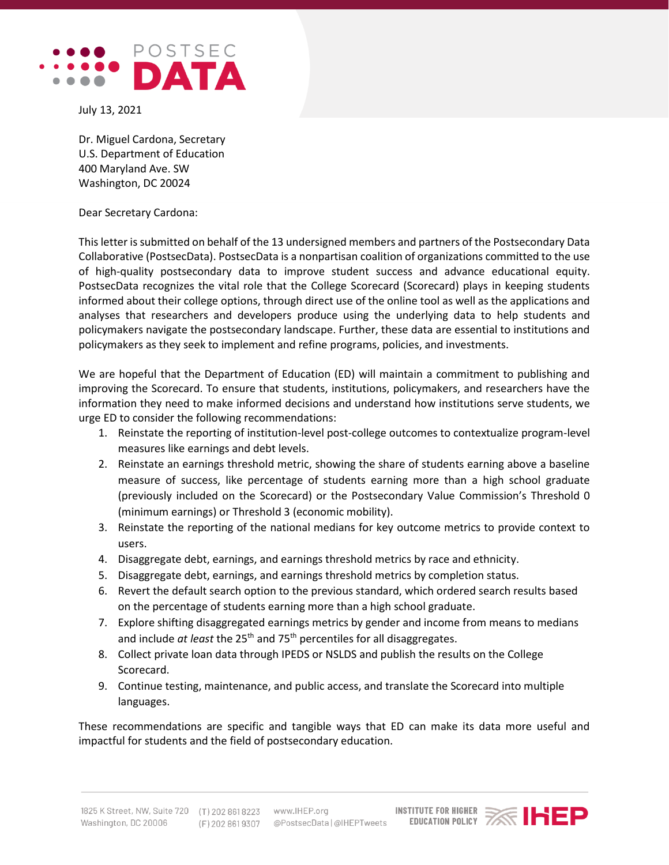

July 13, 2021

Dr. Miguel Cardona, Secretary U.S. Department of Education 400 Maryland Ave. SW Washington, DC 20024

Dear Secretary Cardona:

This letter is submitted on behalf of the 13 undersigned members and partners of the Postsecondary Data Collaborative (PostsecData). PostsecData is a nonpartisan coalition of organizations committed to the use of high-quality postsecondary data to improve student success and advance educational equity. PostsecData recognizes the vital role that the College Scorecard (Scorecard) plays in keeping students informed about their college options, through direct use of the online tool as well as the applications and analyses that researchers and developers produce using the underlying data to help students and policymakers navigate the postsecondary landscape. Further, these data are essential to institutions and policymakers as they seek to implement and refine programs, policies, and investments.

We are hopeful that the Department of Education (ED) will maintain a commitment to publishing and improving the Scorecard. To ensure that students, institutions, policymakers, and researchers have the information they need to make informed decisions and understand how institutions serve students, we urge ED to consider the following recommendations:

- 1. Reinstate the reporting of institution-level post-college outcomes to contextualize program-level measures like earnings and debt levels.
- 2. Reinstate an earnings threshold metric, showing the share of students earning above a baseline measure of success, like percentage of students earning more than a high school graduate (previously included on the Scorecard) or the Postsecondary Value Commission's Threshold 0 (minimum earnings) or Threshold 3 (economic mobility).
- 3. Reinstate the reporting of the national medians for key outcome metrics to provide context to users.
- 4. Disaggregate debt, earnings, and earnings threshold metrics by race and ethnicity.
- 5. Disaggregate debt, earnings, and earnings threshold metrics by completion status.
- 6. Revert the default search option to the previous standard, which ordered search results based on the percentage of students earning more than a high school graduate.
- 7. Explore shifting disaggregated earnings metrics by gender and income from means to medians and include *at least* the 25th and 75th percentiles for all disaggregates.
- 8. Collect private loan data through IPEDS or NSLDS and publish the results on the College Scorecard.
- 9. Continue testing, maintenance, and public access, and translate the Scorecard into multiple languages.

These recommendations are specific and tangible ways that ED can make its data more useful and impactful for students and the field of postsecondary education.

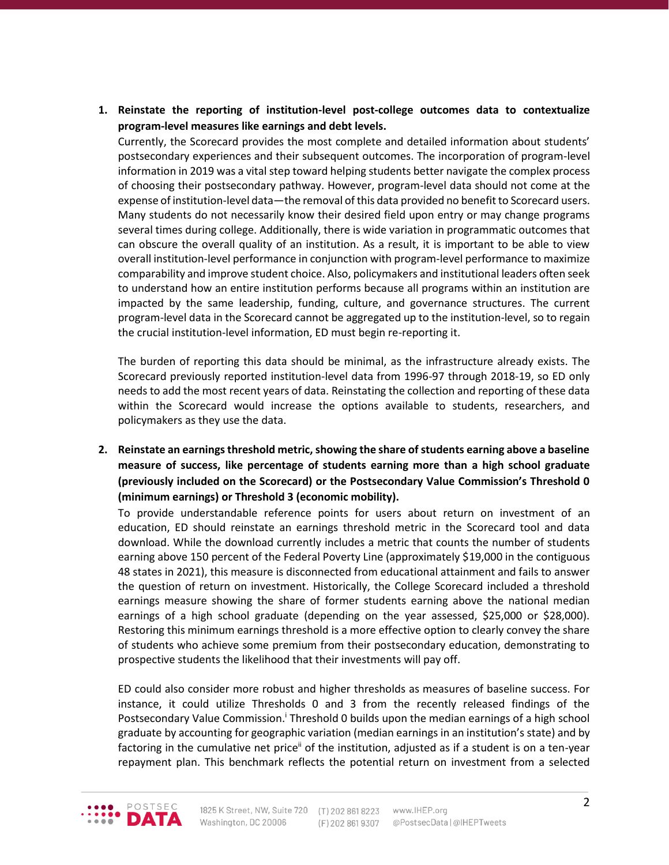**1. Reinstate the reporting of institution-level post-college outcomes data to contextualize program-level measures like earnings and debt levels.**

Currently, the Scorecard provides the most complete and detailed information about students' postsecondary experiences and their subsequent outcomes. The incorporation of program-level information in 2019 was a vital step toward helping students better navigate the complex process of choosing their postsecondary pathway. However, program-level data should not come at the expense of institution-level data—the removal of this data provided no benefit to Scorecard users. Many students do not necessarily know their desired field upon entry or may change programs several times during college. Additionally, there is wide variation in programmatic outcomes that can obscure the overall quality of an institution. As a result, it is important to be able to view overall institution-level performance in conjunction with program-level performance to maximize comparability and improve student choice. Also, policymakers and institutional leaders often seek to understand how an entire institution performs because all programs within an institution are impacted by the same leadership, funding, culture, and governance structures. The current program-level data in the Scorecard cannot be aggregated up to the institution-level, so to regain the crucial institution-level information, ED must begin re-reporting it.

The burden of reporting this data should be minimal, as the infrastructure already exists. The Scorecard previously reported institution-level data from 1996-97 through 2018-19, so ED only needs to add the most recent years of data. Reinstating the collection and reporting of these data within the Scorecard would increase the options available to students, researchers, and policymakers as they use the data.

**2. Reinstate an earnings threshold metric, showing the share of students earning above a baseline measure of success, like percentage of students earning more than a high school graduate (previously included on the Scorecard) or the Postsecondary Value Commission's Threshold 0 (minimum earnings) or Threshold 3 (economic mobility).** 

To provide understandable reference points for users about return on investment of an education, ED should reinstate an earnings threshold metric in the Scorecard tool and data download. While the download currently includes a metric that counts the number of students earning above 150 percent of the Federal Poverty Line (approximately \$19,000 in the contiguous 48 states in 2021), this measure is disconnected from educational attainment and fails to answer the question of return on investment. Historically, the College Scorecard included a threshold earnings measure showing the share of former students earning above the national median earnings of a high school graduate (depending on the year assessed, \$25,000 or \$28,000). Restoring this minimum earnings threshold is a more effective option to clearly convey the share of students who achieve some premium from their postsecondary education, demonstrating to prospective students the likelihood that their investments will pay off.

ED could also consider more robust and higher thresholds as measures of baseline success. For instance, it could utilize Thresholds 0 and 3 from the recently released findings of the Postsecondary Value Commission.<sup>†</sup> Threshold 0 builds upon the median earnings of a high school graduate by accounting for geographic variation (median earnings in an institution's state) and by factoring in the cumulative net price<sup>ii</sup> of the institution, adjusted as if a student is on a ten-year repayment plan. This benchmark reflects the potential return on investment from a selected

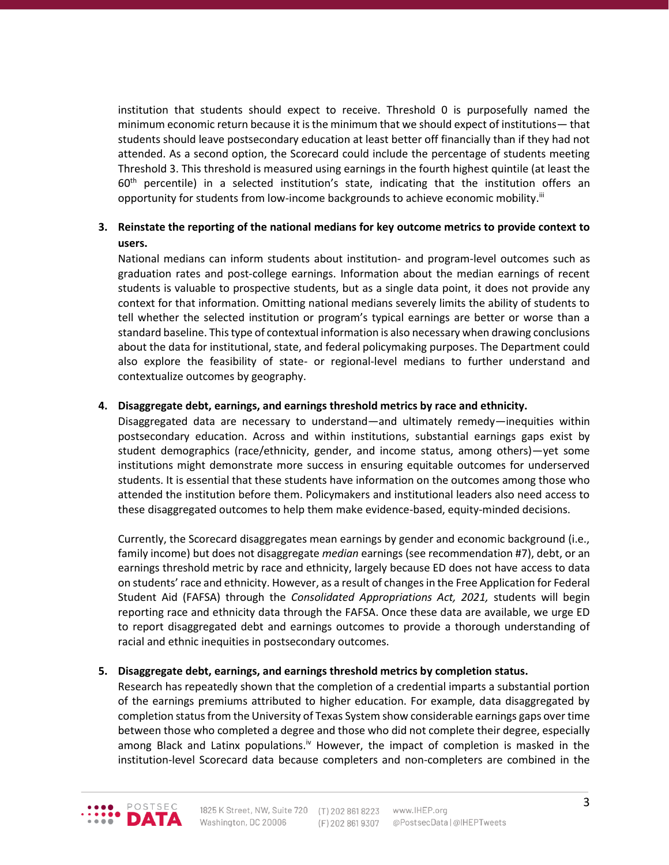institution that students should expect to receive. Threshold 0 is purposefully named the minimum economic return because it is the minimum that we should expect of institutions— that students should leave postsecondary education at least better off financially than if they had not attended. As a second option, the Scorecard could include the percentage of students meeting Threshold 3. This threshold is measured using earnings in the fourth highest quintile (at least the  $60<sup>th</sup>$  percentile) in a selected institution's state, indicating that the institution offers an opportunity for students from low-income backgrounds to achieve economic mobility.<sup>iii</sup>

## **3. Reinstate the reporting of the national medians for key outcome metrics to provide context to users.**

National medians can inform students about institution- and program-level outcomes such as graduation rates and post-college earnings. Information about the median earnings of recent students is valuable to prospective students, but as a single data point, it does not provide any context for that information. Omitting national medians severely limits the ability of students to tell whether the selected institution or program's typical earnings are better or worse than a standard baseline. This type of contextual information is also necessary when drawing conclusions about the data for institutional, state, and federal policymaking purposes. The Department could also explore the feasibility of state- or regional-level medians to further understand and contextualize outcomes by geography.

## **4. Disaggregate debt, earnings, and earnings threshold metrics by race and ethnicity.**

Disaggregated data are necessary to understand—and ultimately remedy—inequities within postsecondary education. Across and within institutions, substantial earnings gaps exist by student demographics (race/ethnicity, gender, and income status, among others)—yet some institutions might demonstrate more success in ensuring equitable outcomes for underserved students. It is essential that these students have information on the outcomes among those who attended the institution before them. Policymakers and institutional leaders also need access to these disaggregated outcomes to help them make evidence-based, equity-minded decisions.

Currently, the Scorecard disaggregates mean earnings by gender and economic background (i.e., family income) but does not disaggregate *median* earnings (see recommendation #7), debt, or an earnings threshold metric by race and ethnicity, largely because ED does not have access to data on students' race and ethnicity. However, as a result of changes in the Free Application for Federal Student Aid (FAFSA) through the *Consolidated Appropriations Act, 2021,* students will begin reporting race and ethnicity data through the FAFSA. Once these data are available, we urge ED to report disaggregated debt and earnings outcomes to provide a thorough understanding of racial and ethnic inequities in postsecondary outcomes.

## **5. Disaggregate debt, earnings, and earnings threshold metrics by completion status.**

Research has repeatedly shown that the completion of a credential imparts a substantial portion of the earnings premiums attributed to higher education. For example, data disaggregated by completion status from the University of Texas System show considerable earnings gaps over time between those who completed a degree and those who did not complete their degree, especially among Black and Latinx populations.<sup>iv</sup> However, the impact of completion is masked in the institution-level Scorecard data because completers and non-completers are combined in the

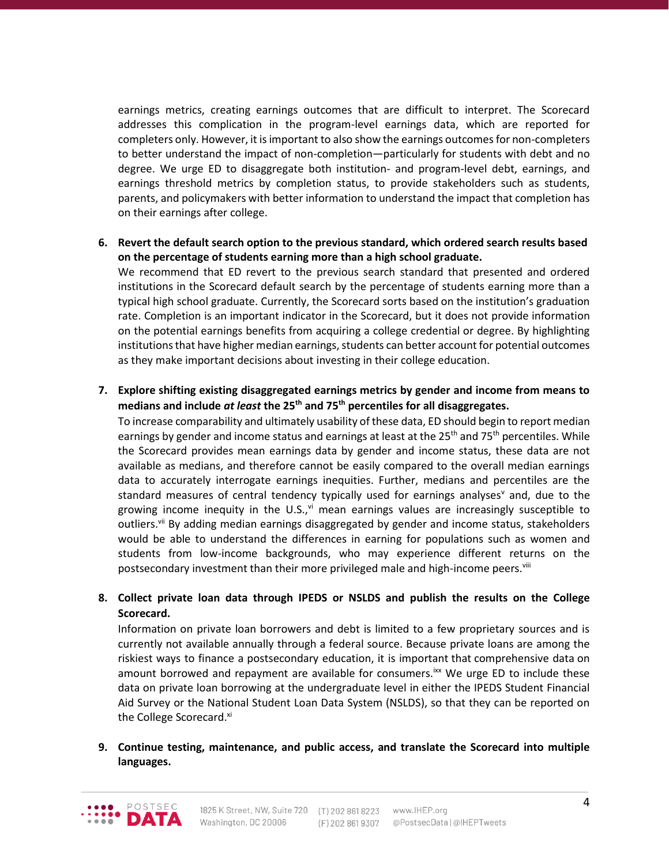earnings metrics, creating earnings outcomes that are difficult to interpret. The Scorecard addresses this complication in the program-level earnings data, which are reported for completers only. However, it is important to also show the earnings outcomes for non-completers to better understand the impact of non-completion—particularly for students with debt and no degree. We urge ED to disaggregate both institution- and program-level debt, earnings, and earnings threshold metrics by completion status, to provide stakeholders such as students, parents, and policymakers with better information to understand the impact that completion has on their earnings after college.

**6. Revert the default search option to the previous standard, which ordered search results based on the percentage of students earning more than a high school graduate.**

We recommend that ED revert to the previous search standard that presented and ordered institutions in the Scorecard default search by the percentage of students earning more than a typical high school graduate. Currently, the Scorecard sorts based on the institution's graduation rate. Completion is an important indicator in the Scorecard, but it does not provide information on the potential earnings benefits from acquiring a college credential or degree. By highlighting institutions that have higher median earnings, students can better account for potential outcomes as they make important decisions about investing in their college education.

**7. Explore shifting existing disaggregated earnings metrics by gender and income from means to medians and include** *at least* **the 25th and 75th percentiles for all disaggregates.** 

To increase comparability and ultimately usability of these data, ED should begin to report median earnings by gender and income status and earnings at least at the  $25<sup>th</sup>$  and 75<sup>th</sup> percentiles. While the Scorecard provides mean earnings data by gender and income status, these data are not available as medians, and therefore cannot be easily compared to the overall median earnings data to accurately interrogate earnings inequities. Further, medians and percentiles are the standard measures of central tendency typically used for earnings analyses<sup>y</sup> and, due to the growing income inequity in the U.S., $\gamma$ <sup>i</sup> mean earnings values are increasingly susceptible to outliers.<sup>vii</sup> By adding median earnings disaggregated by gender and income status, stakeholders would be able to understand the differences in earning for populations such as women and students from low-income backgrounds, who may experience different returns on the postsecondary investment than their more privileged male and high-income peers.<sup>viii</sup>

**8. Collect private loan data through IPEDS or NSLDS and publish the results on the College Scorecard.** 

Information on private loan borrowers and debt is limited to a few proprietary sources and is currently not available annually through a federal source. Because private loans are among the riskiest ways to finance a postsecondary education, it is important that comprehensive data on amount borrowed and repayment are available for consumers.<sup>ixx</sup> We urge ED to include these data on private loan borrowing at the undergraduate level in either the IPEDS Student Financial Aid Survey or the National Student Loan Data System (NSLDS), so that they can be reported on the College Scorecard.<sup>xi</sup>

**9. Continue testing, maintenance, and public access, and translate the Scorecard into multiple languages.**

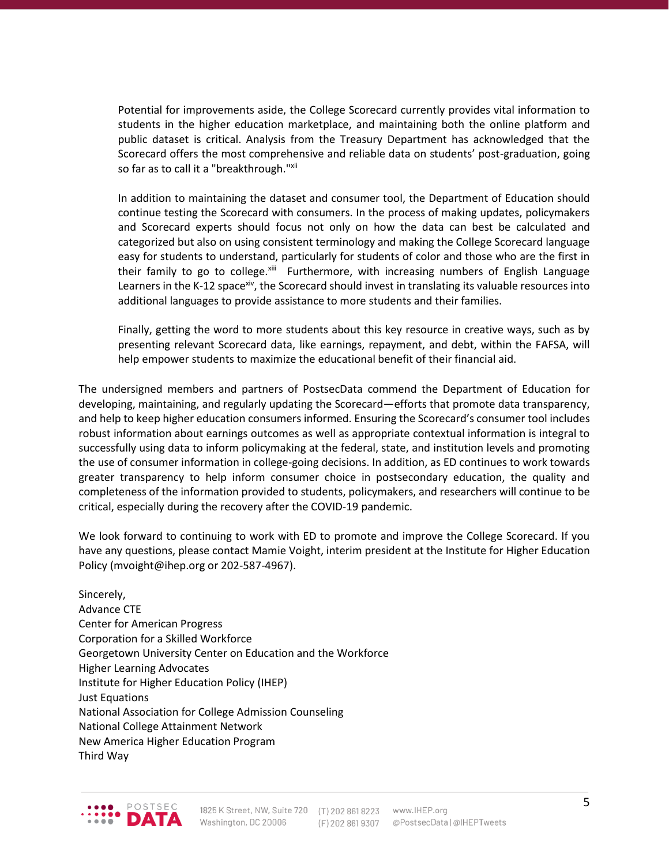Potential for improvements aside, the College Scorecard currently provides vital information to students in the higher education marketplace, and maintaining both the online platform and public dataset is critical. Analysis from the Treasury Department has acknowledged that the Scorecard offers the most comprehensive and reliable data on students' post-graduation, going so far as to call it a "breakthrough."xii

In addition to maintaining the dataset and consumer tool, the Department of Education should continue testing the Scorecard with consumers. In the process of making updates, policymakers and Scorecard experts should focus not only on how the data can best be calculated and categorized but also on using consistent terminology and making the College Scorecard language easy for students to understand, particularly for students of color and those who are the first in their family to go to college.<sup>xiii</sup> Furthermore, with increasing numbers of English Language Learners in the K-12 space<sup>xiv</sup>, the Scorecard should invest in translating its valuable resources into additional languages to provide assistance to more students and their families.

Finally, getting the word to more students about this key resource in creative ways, such as by presenting relevant Scorecard data, like earnings, repayment, and debt, within the FAFSA, will help empower students to maximize the educational benefit of their financial aid.

The undersigned members and partners of PostsecData commend the Department of Education for developing, maintaining, and regularly updating the Scorecard—efforts that promote data transparency, and help to keep higher education consumers informed. Ensuring the Scorecard's consumer tool includes robust information about earnings outcomes as well as appropriate contextual information is integral to successfully using data to inform policymaking at the federal, state, and institution levels and promoting the use of consumer information in college-going decisions. In addition, as ED continues to work towards greater transparency to help inform consumer choice in postsecondary education, the quality and completeness of the information provided to students, policymakers, and researchers will continue to be critical, especially during the recovery after the COVID-19 pandemic.

We look forward to continuing to work with ED to promote and improve the College Scorecard. If you have any questions, please contact Mamie Voight, interim president at the Institute for Higher Education Policy (mvoight@ihep.org or 202-587-4967).

Sincerely, Advance CTE Center for American Progress Corporation for a Skilled Workforce Georgetown University Center on Education and the Workforce Higher Learning Advocates Institute for Higher Education Policy (IHEP) Just Equations National Association for College Admission Counseling National College Attainment Network New America Higher Education Program Third Way